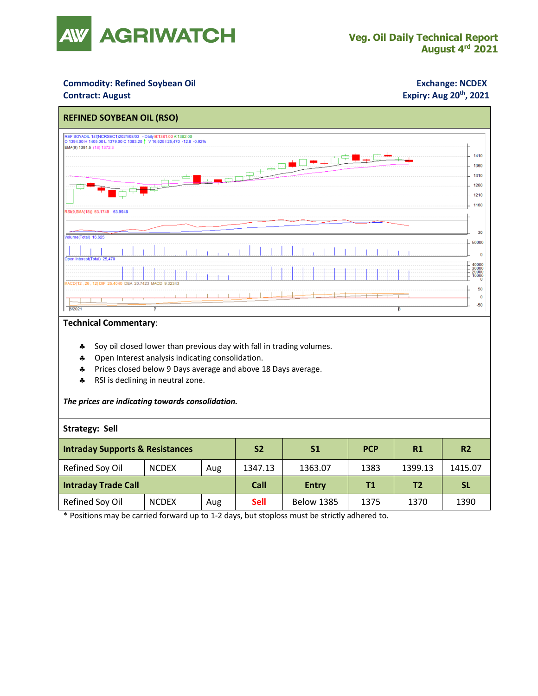

### **Commodity: Refined Soybean Oil <b>Exchange: NCDEX**

#### **Contract: August**

## **Expiry: Aug 20<sup>th</sup>, 2021**



### **Technical Commentary**:

- Soy oil closed lower than previous day with fall in trading volumes.
- \* Open Interest analysis indicating consolidation.
- Prices closed below 9 Days average and above 18 Days average.
- \* RSI is declining in neutral zone.

#### *The prices are indicating towards consolidation.*

#### **Strategy: Sell**

| <b>Intraday Supports &amp; Resistances</b> |              |     | S <sub>2</sub> | S1                | <b>PCP</b> | R1      | R <sub>2</sub> |
|--------------------------------------------|--------------|-----|----------------|-------------------|------------|---------|----------------|
| Refined Soy Oil                            | <b>NCDEX</b> | Aug | 1347.13        | 1363.07           | 1383       | 1399.13 | 1415.07        |
| <b>Intraday Trade Call</b>                 |              |     | Call           | <b>Entry</b>      | Τ1         | Τ2      | <b>SL</b>      |
| Refined Soy Oil                            | <b>NCDEX</b> | Aug | <b>Sell</b>    | <b>Below 1385</b> | 1375       | 1370    | 1390           |

\* Positions may be carried forward up to 1-2 days, but stoploss must be strictly adhered to.